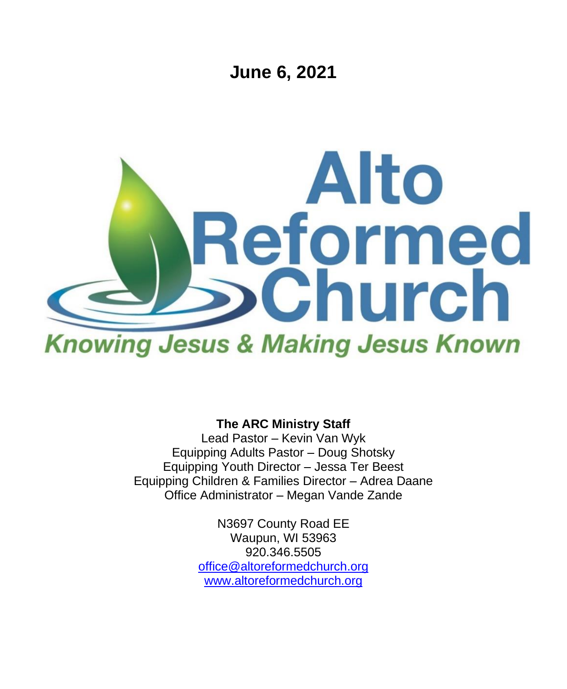**June 6, 2021**



**The ARC Ministry Staff**

Lead Pastor – Kevin Van Wyk Equipping Adults Pastor – Doug Shotsky Equipping Youth Director – Jessa Ter Beest Equipping Children & Families Director – Adrea Daane Office Administrator – Megan Vande Zande

> N3697 County Road EE Waupun, WI 53963 920.346.5505 [office@altoreformedchurch.org](mailto:office@altoreformedchurch.org) [www.altoreformedchurch.org](http://www.altoreformedchurch.org/)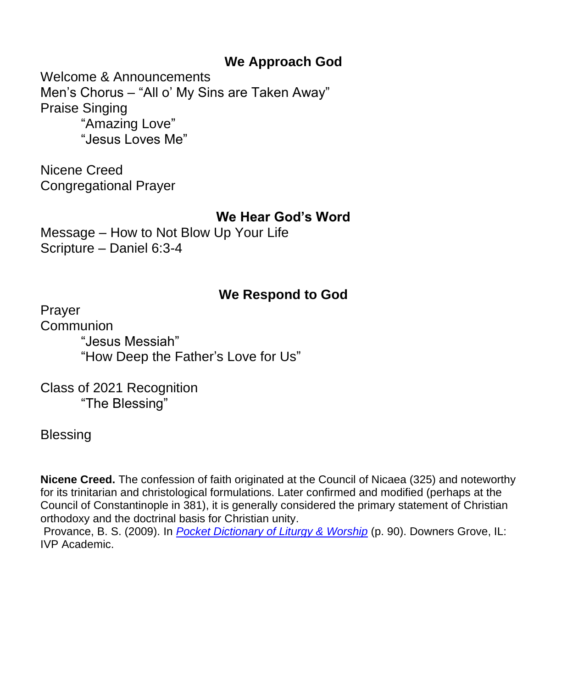## **We Approach God**

Welcome & Announcements Men's Chorus – "All o' My Sins are Taken Away" Praise Singing "Amazing Love" "Jesus Loves Me"

Nicene Creed Congregational Prayer

### **We Hear God's Word**

Message – How to Not Blow Up Your Life Scripture – Daniel 6:3-4

### **We Respond to God**

Prayer Communion "Jesus Messiah" "How Deep the Father's Love for Us"

Class of 2021 Recognition "The Blessing"

**Blessing** 

**Nicene Creed.** The confession of faith originated at the Council of Nicaea (325) and noteworthy for its trinitarian and christological formulations. Later confirmed and modified (perhaps at the Council of Constantinople in 381), it is generally considered the primary statement of Christian orthodoxy and the doctrinal basis for Christian unity.

Provance, B. S. (2009). In *[Pocket Dictionary of Liturgy & Worship](https://na01.safelinks.protection.outlook.com/?url=https%3A%2F%2Fref.ly%2Flogosres%2Fpcktdctltrwrshp%3Fref%3DPage.p%2B90%26off%3D1101&data=04%7C01%7C%7C12e39c46ee1640869a1008d9276cc85d%7C84df9e7fe9f640afb435aaaaaaaaaaaa%7C1%7C0%7C637584170433802322%7CUnknown%7CTWFpbGZsb3d8eyJWIjoiMC4wLjAwMDAiLCJQIjoiV2luMzIiLCJBTiI6Ik1haWwiLCJXVCI6Mn0%3D%7C1000&sdata=Gc3gaKQtpMDVv72dNs11S83hH8qPXfDcZoEnAUREDNM%3D&reserved=0)* (p. 90). Downers Grove, IL: IVP Academic.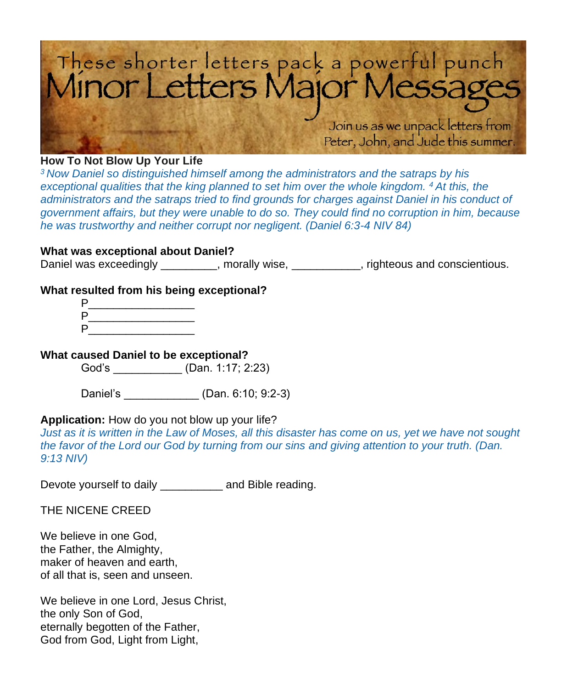

#### **How To Not Blow Up Your Life**

*<sup>3</sup> Now Daniel so distinguished himself among the administrators and the satraps by his exceptional qualities that the king planned to set him over the whole kingdom.* <sup>4</sup> At this, the administrators and the satraps tried to find grounds for charges against Daniel in his conduct of *government affairs, but they were unable to do so. They could find no corruption in him, because he was trustworthy and neither corrupt nor negligent. (Daniel 6:3-4 NIV 84)*

#### **What was exceptional about Daniel?**

Daniel was exceedingly \_\_\_\_\_\_\_\_, morally wise, \_\_\_\_\_\_\_\_\_, righteous and conscientious.

#### **What resulted from his being exceptional?**

| P |  |
|---|--|
| P |  |
| P |  |

#### **What caused Daniel to be exceptional?**

God's \_\_\_\_\_\_\_\_\_\_\_ (Dan. 1:17; 2:23)

Daniel's \_\_\_\_\_\_\_\_\_\_\_\_ (Dan. 6:10; 9:2-3)

#### **Application:** How do you not blow up your life?

*Just as it is written in the Law of Moses, all this disaster has come on us, yet we have not sought the favor of the Lord our God by turning from our sins and giving attention to your truth. (Dan. 9:13 NIV)*

Devote yourself to daily **Example 2** and Bible reading.

THE NICENE CREED

We believe in one God, the Father, the Almighty, maker of heaven and earth, of all that is, seen and unseen.

We believe in one Lord, Jesus Christ, the only Son of God, eternally begotten of the Father, God from God, Light from Light,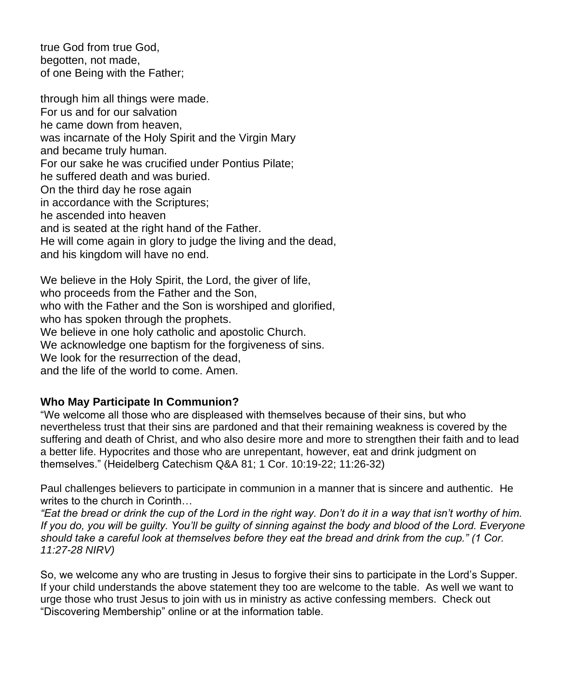true God from true God, begotten, not made, of one Being with the Father;

through him all things were made. For us and for our salvation he came down from heaven, was incarnate of the Holy Spirit and the Virgin Mary and became truly human. For our sake he was crucified under Pontius Pilate; he suffered death and was buried. On the third day he rose again in accordance with the Scriptures; he ascended into heaven and is seated at the right hand of the Father. He will come again in glory to judge the living and the dead, and his kingdom will have no end.

We believe in the Holy Spirit, the Lord, the giver of life, who proceeds from the Father and the Son, who with the Father and the Son is worshiped and glorified. who has spoken through the prophets. We believe in one holy catholic and apostolic Church. We acknowledge one baptism for the forgiveness of sins. We look for the resurrection of the dead, and the life of the world to come. Amen.

#### **Who May Participate In Communion?**

"We welcome all those who are displeased with themselves because of their sins, but who nevertheless trust that their sins are pardoned and that their remaining weakness is covered by the suffering and death of Christ, and who also desire more and more to strengthen their faith and to lead a better life. Hypocrites and those who are unrepentant, however, eat and drink judgment on themselves." (Heidelberg Catechism Q&A 81; 1 Cor. 10:19-22; 11:26-32)

Paul challenges believers to participate in communion in a manner that is sincere and authentic. He writes to the church in Corinth…

*"Eat the bread or drink the cup of the Lord in the right way. Don't do it in a way that isn't worthy of him. If you do, you will be guilty. You'll be guilty of sinning against the body and blood of the Lord. Everyone should take a careful look at themselves before they eat the bread and drink from the cup." (1 Cor. 11:27-28 NIRV)*

So, we welcome any who are trusting in Jesus to forgive their sins to participate in the Lord's Supper. If your child understands the above statement they too are welcome to the table. As well we want to urge those who trust Jesus to join with us in ministry as active confessing members. Check out "Discovering Membership" online or at the information table.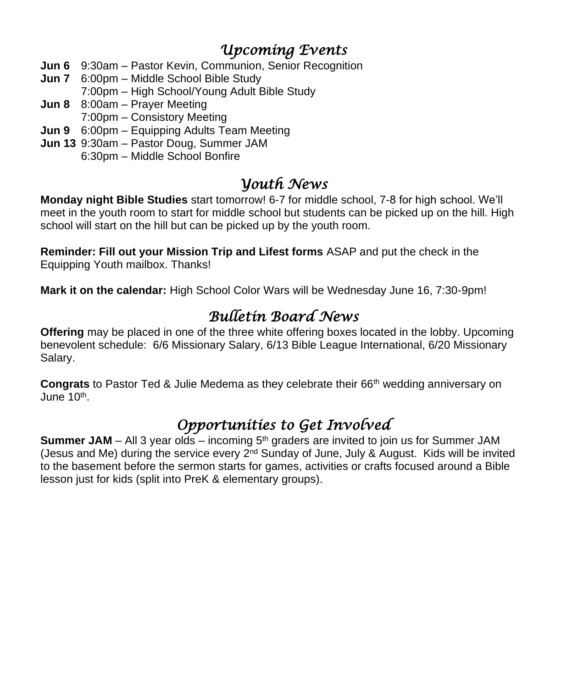# *Upcoming Events*

- **Jun 6** 9:30am Pastor Kevin, Communion, Senior Recognition
- **Jun 7** 6:00pm Middle School Bible Study
	- 7:00pm High School/Young Adult Bible Study
- **Jun 8** 8:00am Prayer Meeting
	- 7:00pm Consistory Meeting
- **Jun 9** 6:00pm Equipping Adults Team Meeting
- **Jun 13** 9:30am Pastor Doug, Summer JAM 6:30pm – Middle School Bonfire

## *Youth News*

**Monday night Bible Studies** start tomorrow! 6-7 for middle school, 7-8 for high school. We'll meet in the youth room to start for middle school but students can be picked up on the hill. High school will start on the hill but can be picked up by the youth room.

**Reminder: Fill out your Mission Trip and Lifest forms** ASAP and put the check in the Equipping Youth mailbox. Thanks!

**Mark it on the calendar:** High School Color Wars will be Wednesday June 16, 7:30-9pm!

# *Bulletin Board News*

**Offering** may be placed in one of the three white offering boxes located in the lobby. Upcoming benevolent schedule: 6/6 Missionary Salary, 6/13 Bible League International, 6/20 Missionary Salary.

**Congrats** to Pastor Ted & Julie Medema as they celebrate their 66<sup>th</sup> wedding anniversary on June 10<sup>th</sup>.

# *Opportunities to Get Involved*

**Summer JAM** – All 3 year olds – incoming 5<sup>th</sup> graders are invited to join us for Summer JAM (Jesus and Me) during the service every  $2<sup>nd</sup>$  Sunday of June, July & August. Kids will be invited to the basement before the sermon starts for games, activities or crafts focused around a Bible lesson just for kids (split into PreK & elementary groups).